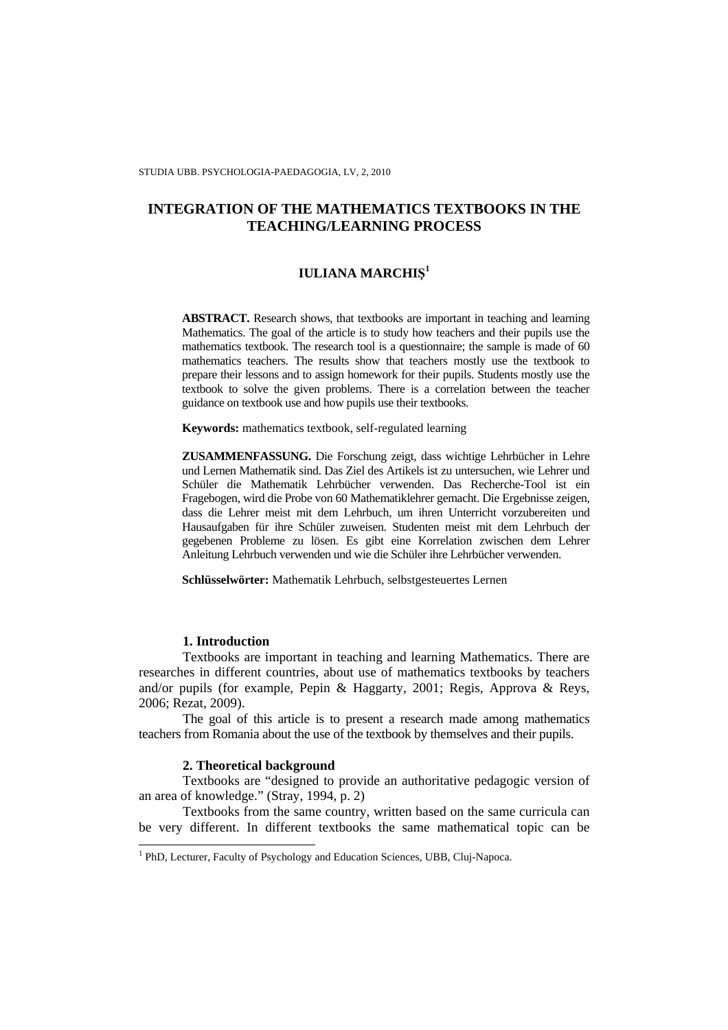# **IULIANA MARCHI**Ş **1**

**ABSTRACT.** Research shows, that textbooks are important in teaching and learning Mathematics. The goal of the article is to study how teachers and their pupils use the mathematics textbook. The research tool is a questionnaire; the sample is made of 60 mathematics teachers. The results show that teachers mostly use the textbook to prepare their lessons and to assign homework for their pupils. Students mostly use the textbook to solve the given problems. There is a correlation between the teacher guidance on textbook use and how pupils use their textbooks.

**Keywords:** mathematics textbook, self-regulated learning

**ZUSAMMENFASSUNG.** Die Forschung zeigt, dass wichtige Lehrbücher in Lehre und Lernen Mathematik sind. Das Ziel des Artikels ist zu untersuchen, wie Lehrer und Schüler die Mathematik Lehrbücher verwenden. Das Recherche-Tool ist ein Fragebogen, wird die Probe von 60 Mathematiklehrer gemacht. Die Ergebnisse zeigen, dass die Lehrer meist mit dem Lehrbuch, um ihren Unterricht vorzubereiten und Hausaufgaben für ihre Schüler zuweisen. Studenten meist mit dem Lehrbuch der gegebenen Probleme zu lösen. Es gibt eine Korrelation zwischen dem Lehrer Anleitung Lehrbuch verwenden und wie die Schüler ihre Lehrbücher verwenden.

**Schlüsselwörter:** Mathematik Lehrbuch, selbstgesteuertes Lernen

### **1. Introduction**

Textbooks are important in teaching and learning Mathematics. There are researches in different countries, about use of mathematics textbooks by teachers and/or pupils (for example, Pepin & Haggarty, 2001; Regis, Approva & Reys, 2006; Rezat, 2009).

The goal of this article is to present a research made among mathematics teachers from Romania about the use of the textbook by themselves and their pupils.

### **2. Theoretical background**

Textbooks are "designed to provide an authoritative pedagogic version of an area of knowledge." (Stray, 1994, p. 2)

Textbooks from the same country, written based on the same curricula can be very different. In different textbooks the same mathematical topic can be

<sup>&</sup>lt;sup>1</sup> PhD, Lecturer, Faculty of Psychology and Education Sciences, UBB, Cluj-Napoca.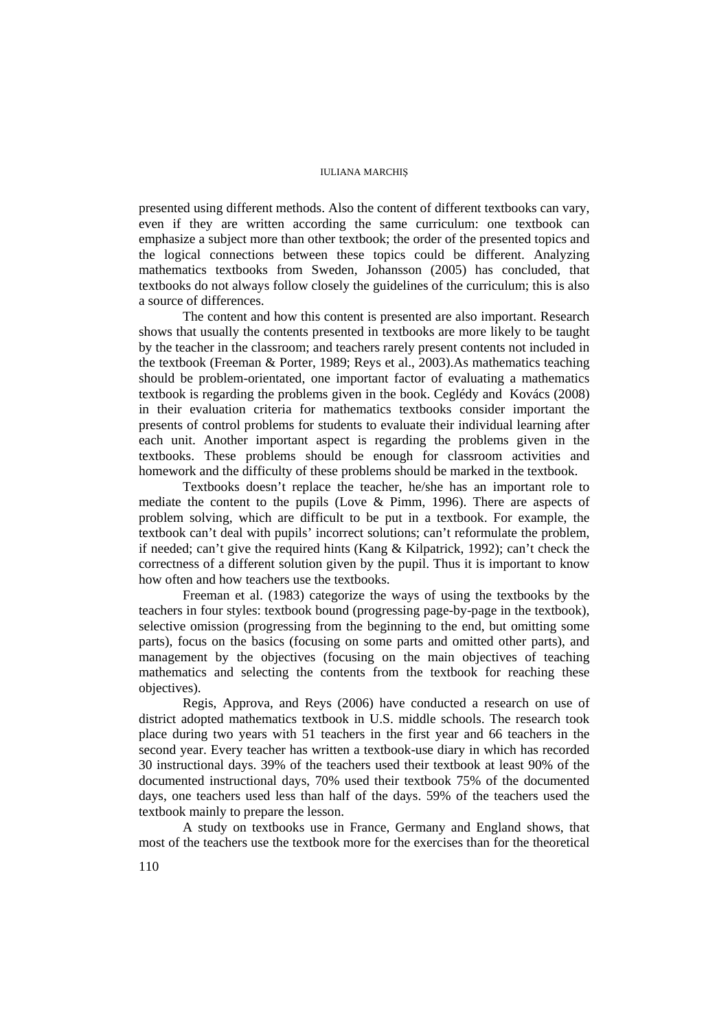presented using different methods. Also the content of different textbooks can vary, even if they are written according the same curriculum: one textbook can emphasize a subject more than other textbook; the order of the presented topics and the logical connections between these topics could be different. Analyzing mathematics textbooks from Sweden, Johansson (2005) has concluded, that textbooks do not always follow closely the guidelines of the curriculum; this is also a source of differences.

The content and how this content is presented are also important. Research shows that usually the contents presented in textbooks are more likely to be taught by the teacher in the classroom; and teachers rarely present contents not included in the textbook (Freeman & Porter, 1989; Reys et al., 2003).As mathematics teaching should be problem-orientated, one important factor of evaluating a mathematics textbook is regarding the problems given in the book. Ceglédy and Kovács (2008) in their evaluation criteria for mathematics textbooks consider important the presents of control problems for students to evaluate their individual learning after each unit. Another important aspect is regarding the problems given in the textbooks. These problems should be enough for classroom activities and homework and the difficulty of these problems should be marked in the textbook.

Textbooks doesn't replace the teacher, he/she has an important role to mediate the content to the pupils (Love & Pimm, 1996). There are aspects of problem solving, which are difficult to be put in a textbook. For example, the textbook can't deal with pupils' incorrect solutions; can't reformulate the problem, if needed; can't give the required hints (Kang  $&$  Kilpatrick, 1992); can't check the correctness of a different solution given by the pupil. Thus it is important to know how often and how teachers use the textbooks.

Freeman et al. (1983) categorize the ways of using the textbooks by the teachers in four styles: textbook bound (progressing page-by-page in the textbook), selective omission (progressing from the beginning to the end, but omitting some parts), focus on the basics (focusing on some parts and omitted other parts), and management by the objectives (focusing on the main objectives of teaching mathematics and selecting the contents from the textbook for reaching these objectives).

Regis, Approva, and Reys (2006) have conducted a research on use of district adopted mathematics textbook in U.S. middle schools. The research took place during two years with 51 teachers in the first year and 66 teachers in the second year. Every teacher has written a textbook-use diary in which has recorded 30 instructional days. 39% of the teachers used their textbook at least 90% of the documented instructional days, 70% used their textbook 75% of the documented days, one teachers used less than half of the days. 59% of the teachers used the textbook mainly to prepare the lesson.

A study on textbooks use in France, Germany and England shows, that most of the teachers use the textbook more for the exercises than for the theoretical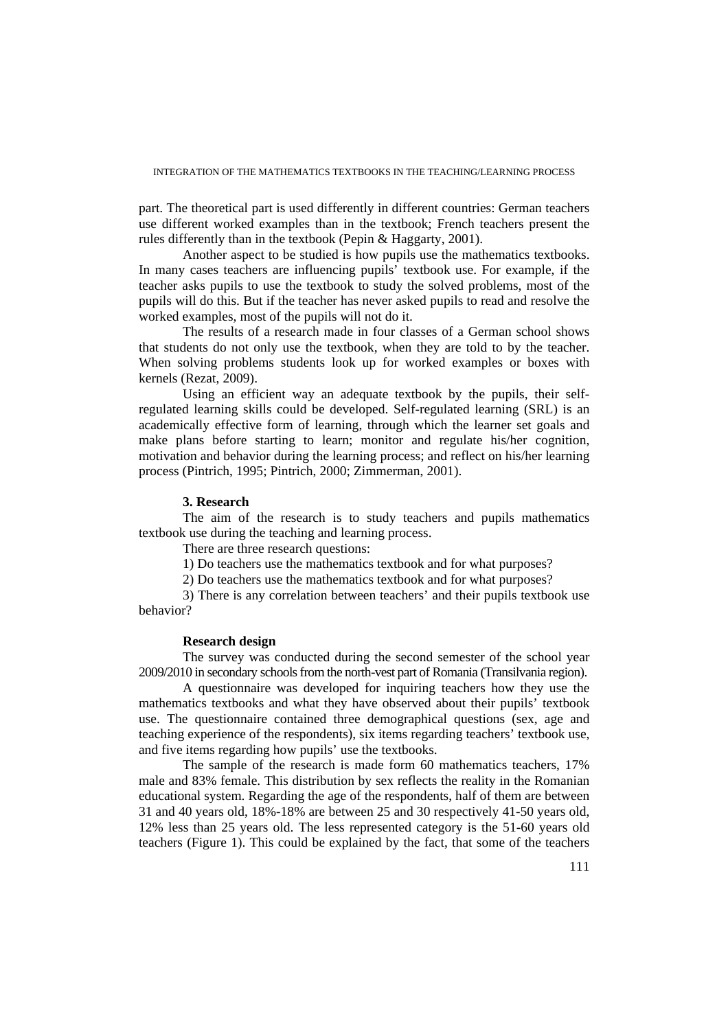part. The theoretical part is used differently in different countries: German teachers use different worked examples than in the textbook; French teachers present the rules differently than in the textbook (Pepin & Haggarty, 2001).

Another aspect to be studied is how pupils use the mathematics textbooks. In many cases teachers are influencing pupils' textbook use. For example, if the teacher asks pupils to use the textbook to study the solved problems, most of the pupils will do this. But if the teacher has never asked pupils to read and resolve the worked examples, most of the pupils will not do it.

The results of a research made in four classes of a German school shows that students do not only use the textbook, when they are told to by the teacher. When solving problems students look up for worked examples or boxes with kernels (Rezat, 2009).

Using an efficient way an adequate textbook by the pupils, their selfregulated learning skills could be developed. Self-regulated learning (SRL) is an academically effective form of learning, through which the learner set goals and make plans before starting to learn; monitor and regulate his/her cognition, motivation and behavior during the learning process; and reflect on his/her learning process (Pintrich, 1995; Pintrich, 2000; Zimmerman, 2001).

### **3. Research**

The aim of the research is to study teachers and pupils mathematics textbook use during the teaching and learning process.

There are three research questions:

1) Do teachers use the mathematics textbook and for what purposes?

2) Do teachers use the mathematics textbook and for what purposes?

3) There is any correlation between teachers' and their pupils textbook use behavior?

### **Research design**

The survey was conducted during the second semester of the school year 2009/2010 in secondary schools from the north-vest part of Romania (Transilvania region).

A questionnaire was developed for inquiring teachers how they use the mathematics textbooks and what they have observed about their pupils' textbook use. The questionnaire contained three demographical questions (sex, age and teaching experience of the respondents), six items regarding teachers' textbook use, and five items regarding how pupils' use the textbooks.

The sample of the research is made form 60 mathematics teachers, 17% male and 83% female. This distribution by sex reflects the reality in the Romanian educational system. Regarding the age of the respondents, half of them are between 31 and 40 years old, 18%-18% are between 25 and 30 respectively 41-50 years old, 12% less than 25 years old. The less represented category is the 51-60 years old teachers (Figure 1). This could be explained by the fact, that some of the teachers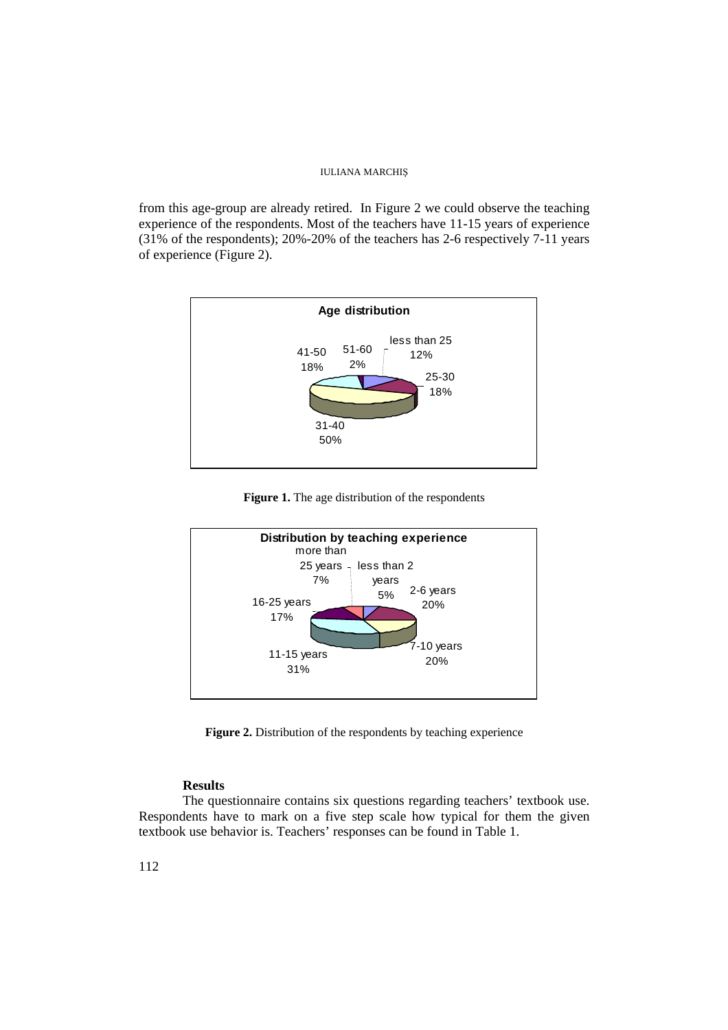from this age-group are already retired. In Figure 2 we could observe the teaching experience of the respondents. Most of the teachers have 11-15 years of experience (31% of the respondents); 20%-20% of the teachers has 2-6 respectively 7-11 years of experience (Figure 2).



**Figure 1.** The age distribution of the respondents



Figure 2. Distribution of the respondents by teaching experience

## **Results**

The questionnaire contains six questions regarding teachers' textbook use. Respondents have to mark on a five step scale how typical for them the given textbook use behavior is. Teachers' responses can be found in Table 1.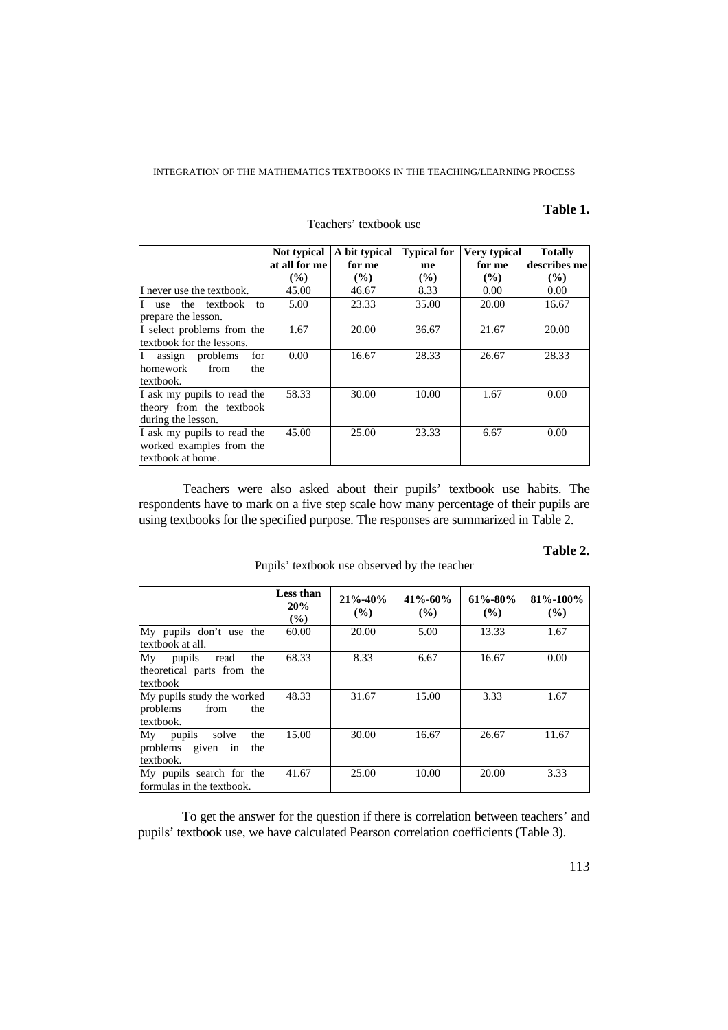## **Table 1.**

|                                              | Not typical   | A bit typical | <b>Typical for</b> | Very typical | <b>Totally</b> |  |
|----------------------------------------------|---------------|---------------|--------------------|--------------|----------------|--|
|                                              | at all for me | for me        | me                 | for me       | describes mel  |  |
|                                              | $\frac{9}{6}$ | $\frac{9}{6}$ | $\frac{9}{6}$      | (%)          | $\frac{9}{6}$  |  |
| I never use the textbook.                    | 45.00         | 46.67         | 8.33               | 0.00         | 0.00           |  |
| textbook<br>$\mathbf{I}$<br>the<br>to<br>use | 5.00          | 23.33         | 35.00              | 20.00        | 16.67          |  |
| prepare the lesson.                          |               |               |                    |              |                |  |
| I select problems from the                   | 1.67          | 20.00         | 36.67              | 21.67        | 20.00          |  |
| textbook for the lessons.                    |               |               |                    |              |                |  |
| for<br>I<br>problems<br>assign               | 0.00          | 16.67         | 28.33              | 26.67        | 28.33          |  |
| homework<br>from<br>the                      |               |               |                    |              |                |  |
| textbook.                                    |               |               |                    |              |                |  |
| I ask my pupils to read the                  | 58.33         | 30.00         | 10.00              | 1.67         | 0.00           |  |
| theory from the textbook                     |               |               |                    |              |                |  |
| during the lesson.                           |               |               |                    |              |                |  |
| I ask my pupils to read the                  | 45.00         | 25.00         | 23.33              | 6.67         | 0.00           |  |
| worked examples from the                     |               |               |                    |              |                |  |
| textbook at home.                            |               |               |                    |              |                |  |

### Teachers' textbook use

Teachers were also asked about their pupils' textbook use habits. The respondents have to mark on a five step scale how many percentage of their pupils are using textbooks for the specified purpose. The responses are summarized in Table 2.

### **Table 2.**

|                                                                    | Less than<br>20%<br>$\left( \frac{0}{0} \right)$ | $21\% - 40\%$<br>$($ %) | $41\% - 60\%$<br>$($ %) | $61\% - 80\%$<br>$($ %) | $81\% - 100\%$<br>$($ %) |
|--------------------------------------------------------------------|--------------------------------------------------|-------------------------|-------------------------|-------------------------|--------------------------|
| My pupils don't use the<br>textbook at all.                        | 60.00                                            | 20.00                   | 5.00                    | 13.33                   | 1.67                     |
| Mv<br>pupils read<br>the<br>theoretical parts from the<br>textbook | 68.33                                            | 8.33                    | 6.67                    | 16.67                   | 0.00                     |
| My pupils study the worked<br>problems<br>from<br>the<br>textbook. | 48.33                                            | 31.67                   | 15.00                   | 3.33                    | 1.67                     |
| Mv<br>pupils solve<br>the<br>problems given in<br>the<br>textbook. | 15.00                                            | 30.00                   | 16.67                   | 26.67                   | 11.67                    |
| My pupils search for the<br>formulas in the textbook.              | 41.67                                            | 25.00                   | 10.00                   | 20.00                   | 3.33                     |

Pupils' textbook use observed by the teacher

To get the answer for the question if there is correlation between teachers' and pupils' textbook use, we have calculated Pearson correlation coefficients (Table 3).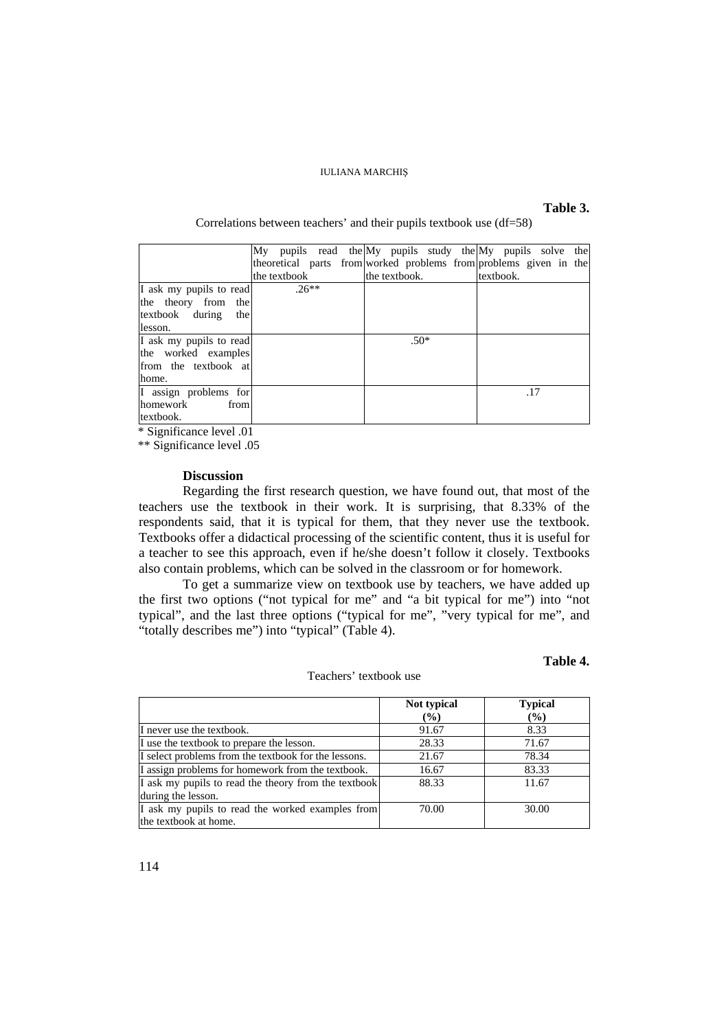### **Table 3.**

### Correlations between teachers' and their pupils textbook use (df=58)

|                         | My pupils read the My pupils study the My pupils solve the        |         |  |               |  |           |     |  |
|-------------------------|-------------------------------------------------------------------|---------|--|---------------|--|-----------|-----|--|
|                         | theoretical parts from worked problems from problems given in the |         |  |               |  |           |     |  |
|                         | the textbook                                                      |         |  | the textbook. |  | textbook. |     |  |
| I ask my pupils to read |                                                                   | $.26**$ |  |               |  |           |     |  |
| the theory from the     |                                                                   |         |  |               |  |           |     |  |
| textbook during<br>the  |                                                                   |         |  |               |  |           |     |  |
| lesson.                 |                                                                   |         |  |               |  |           |     |  |
| I ask my pupils to read |                                                                   |         |  | $.50*$        |  |           |     |  |
| the worked examples     |                                                                   |         |  |               |  |           |     |  |
| from the textbook at    |                                                                   |         |  |               |  |           |     |  |
| home.                   |                                                                   |         |  |               |  |           |     |  |
| I assign problems for   |                                                                   |         |  |               |  |           | .17 |  |
| homework<br>from        |                                                                   |         |  |               |  |           |     |  |
| textbook.               |                                                                   |         |  |               |  |           |     |  |

\* Significance level .01

\*\* Significance level .05

### **Discussion**

Regarding the first research question, we have found out, that most of the teachers use the textbook in their work. It is surprising, that 8.33% of the respondents said, that it is typical for them, that they never use the textbook. Textbooks offer a didactical processing of the scientific content, thus it is useful for a teacher to see this approach, even if he/she doesn't follow it closely. Textbooks also contain problems, which can be solved in the classroom or for homework.

To get a summarize view on textbook use by teachers, we have added up the first two options ("not typical for me" and "a bit typical for me") into "not typical", and the last three options ("typical for me", "very typical for me", and "totally describes me") into "typical" (Table 4).

## **Table 4.**

|                                                      | Not typical | <b>Typical</b>             |
|------------------------------------------------------|-------------|----------------------------|
|                                                      | (%)         | $\left(\frac{0}{0}\right)$ |
| I never use the textbook.                            | 91.67       | 8.33                       |
| I use the textbook to prepare the lesson.            | 28.33       | 71.67                      |
| I select problems from the textbook for the lessons. | 21.67       | 78.34                      |
| I assign problems for homework from the textbook.    | 16.67       | 83.33                      |
| I ask my pupils to read the theory from the textbook | 88.33       | 11.67                      |
| during the lesson.                                   |             |                            |
| I ask my pupils to read the worked examples from     | 70.00       | 30.00                      |
| the textbook at home.                                |             |                            |

Teachers' textbook use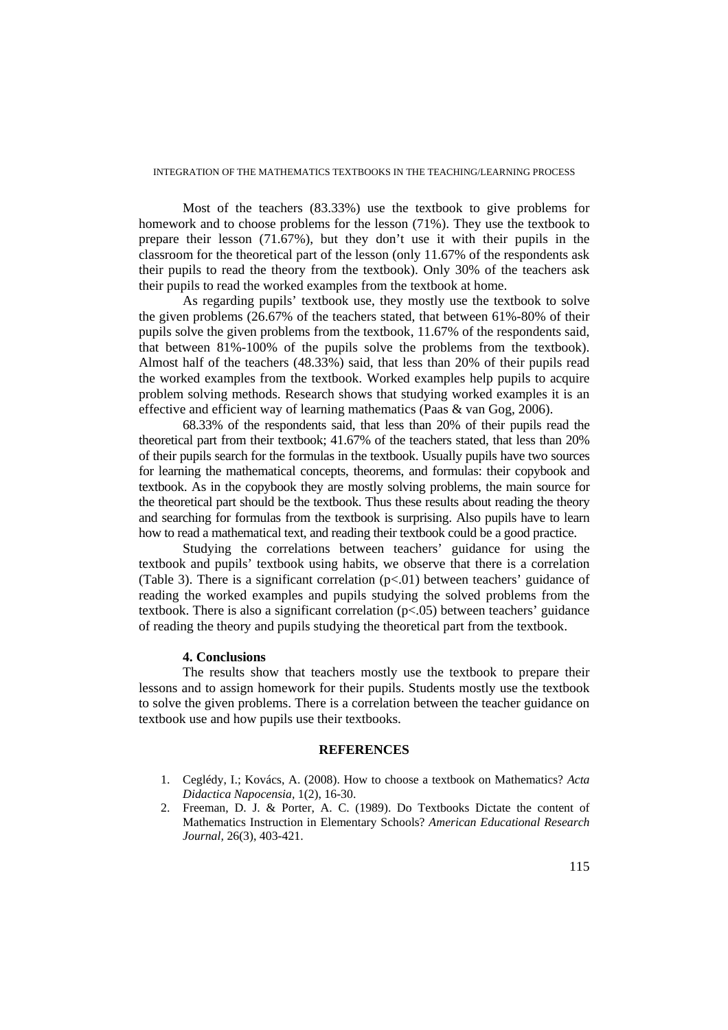Most of the teachers (83.33%) use the textbook to give problems for homework and to choose problems for the lesson (71%). They use the textbook to prepare their lesson (71.67%), but they don't use it with their pupils in the classroom for the theoretical part of the lesson (only 11.67% of the respondents ask their pupils to read the theory from the textbook). Only 30% of the teachers ask their pupils to read the worked examples from the textbook at home.

As regarding pupils' textbook use, they mostly use the textbook to solve the given problems (26.67% of the teachers stated, that between 61%-80% of their pupils solve the given problems from the textbook, 11.67% of the respondents said, that between 81%-100% of the pupils solve the problems from the textbook). Almost half of the teachers (48.33%) said, that less than 20% of their pupils read the worked examples from the textbook. Worked examples help pupils to acquire problem solving methods. Research shows that studying worked examples it is an effective and efficient way of learning mathematics (Paas & van Gog, 2006).

68.33% of the respondents said, that less than 20% of their pupils read the theoretical part from their textbook; 41.67% of the teachers stated, that less than 20% of their pupils search for the formulas in the textbook. Usually pupils have two sources for learning the mathematical concepts, theorems, and formulas: their copybook and textbook. As in the copybook they are mostly solving problems, the main source for the theoretical part should be the textbook. Thus these results about reading the theory and searching for formulas from the textbook is surprising. Also pupils have to learn how to read a mathematical text, and reading their textbook could be a good practice.

Studying the correlations between teachers' guidance for using the textbook and pupils' textbook using habits, we observe that there is a correlation (Table 3). There is a significant correlation  $(p<0.01)$  between teachers' guidance of reading the worked examples and pupils studying the solved problems from the textbook. There is also a significant correlation (p<.05) between teachers' guidance of reading the theory and pupils studying the theoretical part from the textbook.

### **4. Conclusions**

The results show that teachers mostly use the textbook to prepare their lessons and to assign homework for their pupils. Students mostly use the textbook to solve the given problems. There is a correlation between the teacher guidance on textbook use and how pupils use their textbooks.

#### **REFERENCES**

- 1. Ceglédy, I.; Kovács, A. (2008). How to choose a textbook on Mathematics? *Acta Didactica Napocensia,* 1(2), 16-30.
- 2. Freeman, D. J. & Porter, A. C. (1989). Do Textbooks Dictate the content of Mathematics Instruction in Elementary Schools? *American Educational Research Journal,* 26(3), 403-421.